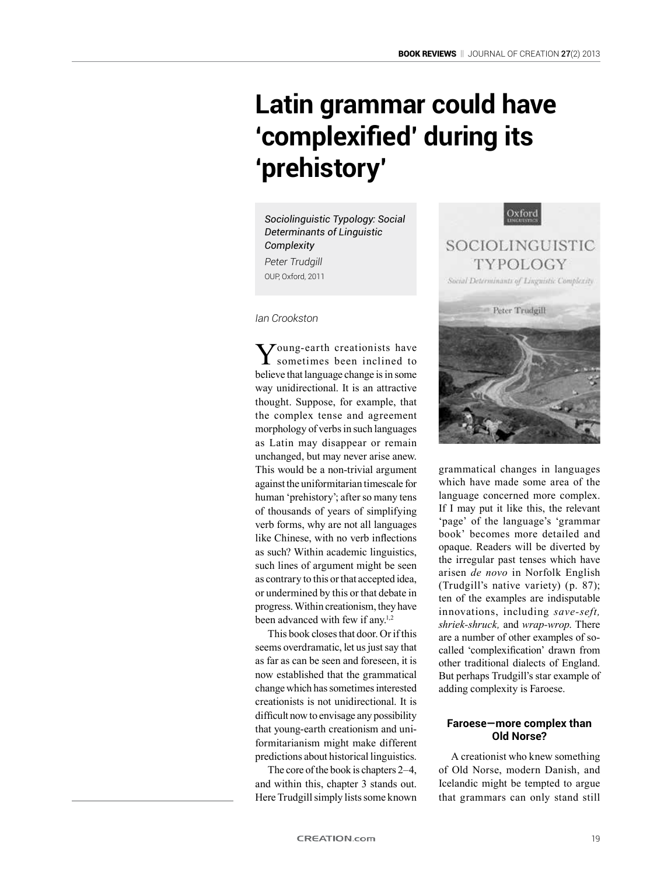## **Latin grammar could have 'complexified' during its 'prehistory'**

*Sociolinguistic Typology: Social Determinants of Linguistic Complexity Peter Trudgill* OUP, Oxford, 2011

*Ian Crookston*

Young-earth creationists have sometimes been inclined to believe that language change is in some way unidirectional. It is an attractive thought. Suppose, for example, that the complex tense and agreement morphology of verbs in such languages as Latin may disappear or remain unchanged, but may never arise anew. This would be a non-trivial argument against the uniformitarian timescale for human 'prehistory'; after so many tens of thousands of years of simplifying verb forms, why are not all languages like Chinese, with no verb inflections. as such? Within academic linguistics, such lines of argument might be seen as contrary to this or that accepted idea, or undermined by this or that debate in progress. Within creationism, they have been advanced with few if any.<sup>1,2</sup>

This book closes that door. Or if this seems overdramatic, let us just say that as far as can be seen and foreseen, it is now established that the grammatical change which has sometimes interested creationists is not unidirectional. It is difficult now to envisage any possibility that young-earth creationism and uniformitarianism might make different predictions about historical linguistics.

The core of the book is chapters 2–4, and within this, chapter 3 stands out. Here Trudgill simply lists some known



grammatical changes in languages which have made some area of the language concerned more complex. If I may put it like this, the relevant 'page' of the language's 'grammar book' becomes more detailed and opaque. Readers will be diverted by the irregular past tenses which have arisen *de novo* in Norfolk English (Trudgill's native variety) (p. 87); ten of the examples are indisputable innovations, including *save-seft, shriek-shruck,* and *wrap-wrop*. There are a number of other examples of socalled 'complexification' drawn from other traditional dialects of England. But perhaps Trudgill's star example of adding complexity is Faroese.

## **Faroese—more complex than Old Norse?**

A creationist who knew something of Old Norse, modern Danish, and Icelandic might be tempted to argue that grammars can only stand still